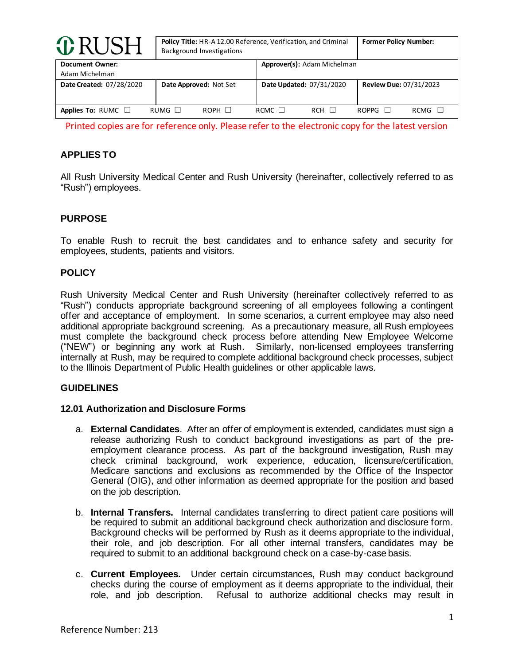| <b>O</b> RUSH                     |             | Policy Title: HR-A 12.00 Reference, Verification, and Criminal<br>Background Investigations | <b>Former Policy Number:</b> |                             |       |                               |  |
|-----------------------------------|-------------|---------------------------------------------------------------------------------------------|------------------------------|-----------------------------|-------|-------------------------------|--|
| Document Owner:<br>Adam Michelman |             |                                                                                             |                              | Approver(s): Adam Michelman |       |                               |  |
| Date Created: 07/28/2020          |             | Date Approved: Not Set                                                                      |                              | Date Updated: 07/31/2020    |       | <b>Review Due: 07/31/2023</b> |  |
| Applies To: RUMC $\Box$           | RUMG $\Box$ | $ROPH$ $\Box$                                                                               | RCMC $\Box$                  | <b>RCH</b>                  | ROPPG | <b>RCMG</b>                   |  |

Printed copies are for reference only. Please refer to the electronic copy for the latest version

# **APPLIES TO**

All Rush University Medical Center and Rush University (hereinafter, collectively referred to as "Rush") employees.

# **PURPOSE**

To enable Rush to recruit the best candidates and to enhance safety and security for employees, students, patients and visitors.

## **POLICY**

Rush University Medical Center and Rush University (hereinafter collectively referred to as "Rush") conducts appropriate background screening of all employees following a contingent offer and acceptance of employment. In some scenarios, a current employee may also need additional appropriate background screening. As a precautionary measure, all Rush employees must complete the background check process before attending New Employee Welcome ("NEW") or beginning any work at Rush. Similarly, non-licensed employees transferring internally at Rush, may be required to complete additional background check processes, subject to the Illinois Department of Public Health guidelines or other applicable laws.

## **GUIDELINES**

#### **12.01 Authorization and Disclosure Forms**

- a. **External Candidates**. After an offer of employment is extended, candidates must sign a release authorizing Rush to conduct background investigations as part of the preemployment clearance process. As part of the background investigation, Rush may check criminal background, work experience, education, licensure/certification, Medicare sanctions and exclusions as recommended by the Office of the Inspector General (OIG), and other information as deemed appropriate for the position and based on the job description.
- b. **Internal Transfers.** Internal candidates transferring to direct patient care positions will be required to submit an additional background check authorization and disclosure form. Background checks will be performed by Rush as it deems appropriate to the individual, their role, and job description. For all other internal transfers, candidates may be required to submit to an additional background check on a case-by-case basis.
- c. **Current Employees.** Under certain circumstances, Rush may conduct background checks during the course of employment as it deems appropriate to the individual, their role, and job description. Refusal to authorize additional checks may result in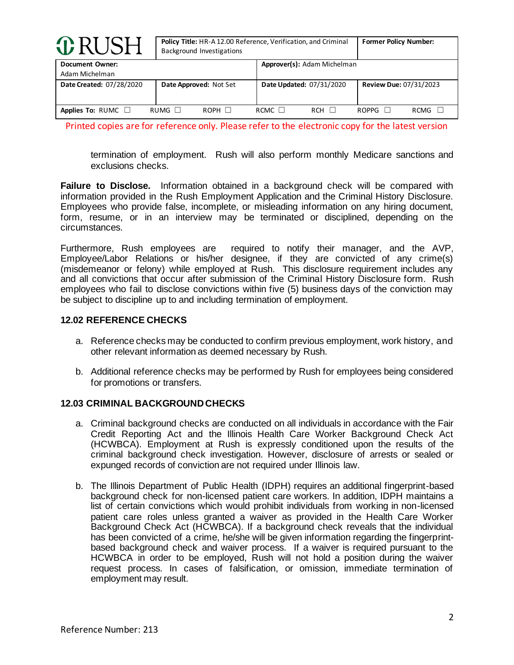| <b>O</b> RUSH                            | Policy Title: HR-A 12.00 Reference, Verification, and Criminal<br>Background Investigations | <b>Former Policy Number:</b>              |                               |  |
|------------------------------------------|---------------------------------------------------------------------------------------------|-------------------------------------------|-------------------------------|--|
| <b>Document Owner:</b><br>Adam Michelman |                                                                                             | Approver(s): Adam Michelman               |                               |  |
| Date Created: 07/28/2020                 | Date Approved: Not Set                                                                      | Date Updated: 07/31/2020                  | <b>Review Due: 07/31/2023</b> |  |
| Applies To: RUMC $\Box$                  | $ROPH$ $\Box$<br>RUMG $\Box$                                                                | RCMC $\Box$<br><b>RCH</b><br>$\mathbf{1}$ | <b>RCMG</b><br>$ROPPG$ $\Box$ |  |

Printed copies are for reference only. Please refer to the electronic copy for the latest version

termination of employment. Rush will also perform monthly Medicare sanctions and exclusions checks.

**Failure to Disclose.** Information obtained in a background check will be compared with information provided in the Rush Employment Application and the Criminal History Disclosure. Employees who provide false, incomplete, or misleading information on any hiring document, form, resume, or in an interview may be terminated or disciplined, depending on the circumstances.

Furthermore, Rush employees are required to notify their manager, and the AVP, Employee/Labor Relations or his/her designee, if they are convicted of any crime(s) (misdemeanor or felony) while employed at Rush. This disclosure requirement includes any and all convictions that occur after submission of the Criminal History Disclosure form. Rush employees who fail to disclose convictions within five (5) business days of the conviction may be subject to discipline up to and including termination of employment.

#### **12.02 REFERENCE CHECKS**

- a. Reference checks may be conducted to confirm previous employment, work history, and other relevant information as deemed necessary by Rush.
- b. Additional reference checks may be performed by Rush for employees being considered for promotions or transfers.

## **12.03 CRIMINAL BACKGROUND CHECKS**

- a. Criminal background checks are conducted on all individuals in accordance with the Fair Credit Reporting Act and the Illinois Health Care Worker Background Check Act (HCWBCA). Employment at Rush is expressly conditioned upon the results of the criminal background check investigation. However, disclosure of arrests or sealed or expunged records of conviction are not required under Illinois law.
- b. The Illinois Department of Public Health (IDPH) requires an additional fingerprint-based background check for non-licensed patient care workers. In addition, IDPH maintains a list of certain convictions which would prohibit individuals from working in non-licensed patient care roles unless granted a waiver as provided in the Health Care Worker Background Check Act (HCWBCA). If a background check reveals that the individual has been convicted of a crime, he/she will be given information regarding the fingerprintbased background check and waiver process. If a waiver is required pursuant to the HCWBCA in order to be employed, Rush will not hold a position during the waiver request process. In cases of falsification, or omission, immediate termination of employment may result.